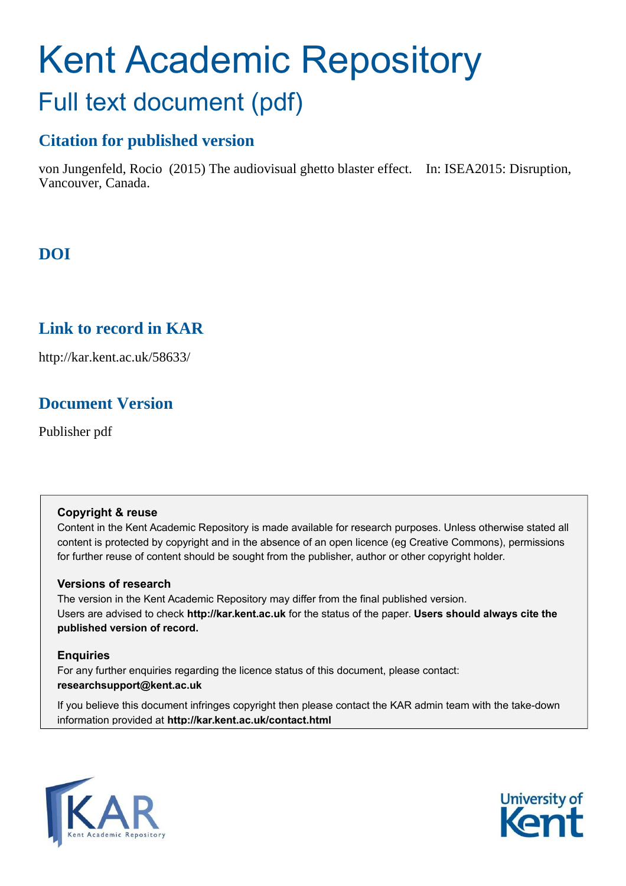# Kent Academic Repository Full text document (pdf)

# **Citation for published version**

von Jungenfeld, Rocio (2015) The audiovisual ghetto blaster effect. In: ISEA2015: Disruption, Vancouver, Canada.

# **DOI**

# **Link to record in KAR**

http://kar.kent.ac.uk/58633/

# **Document Version**

Publisher pdf

# **Copyright & reuse**

Content in the Kent Academic Repository is made available for research purposes. Unless otherwise stated all content is protected by copyright and in the absence of an open licence (eg Creative Commons), permissions for further reuse of content should be sought from the publisher, author or other copyright holder.

# **Versions of research**

The version in the Kent Academic Repository may differ from the final published version. Users are advised to check **http://kar.kent.ac.uk** for the status of the paper. **Users should always cite the published version of record.**

# **Enquiries**

For any further enquiries regarding the licence status of this document, please contact: **researchsupport@kent.ac.uk**

If you believe this document infringes copyright then please contact the KAR admin team with the take-down information provided at **http://kar.kent.ac.uk/contact.html**



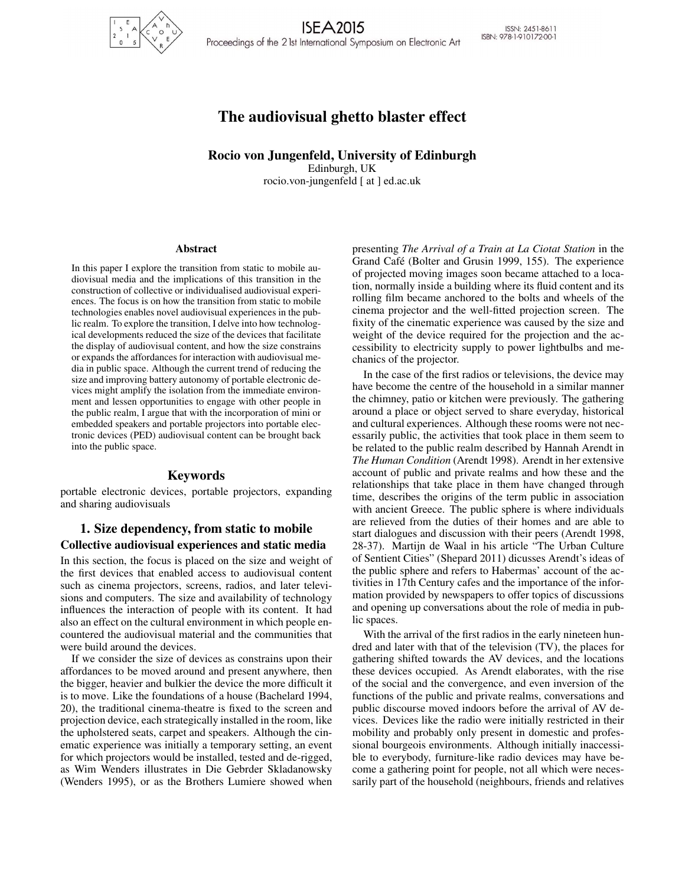

**ISEA2015** Proceedings of the 2 lst International Symposium on Electronic Art

ISSN: 2451-8611 ISBN: 978-1-910172-00-1

# The audiovisual ghetto blaster effect

Rocio von Jungenfeld, University of Edinburgh Edinburgh, UK

rocio.von-jungenfeld [ at ] ed.ac.uk

#### Abstract

In this paper I explore the transition from static to mobile audiovisual media and the implications of this transition in the construction of collective or individualised audiovisual experiences. The focus is on how the transition from static to mobile technologies enables novel audiovisual experiences in the public realm. To explore the transition, I delve into how technological developments reduced the size of the devices that facilitate the display of audiovisual content, and how the size constrains or expands the affordances for interaction with audiovisual media in public space. Although the current trend of reducing the size and improving battery autonomy of portable electronic devices might amplify the isolation from the immediate environment and lessen opportunities to engage with other people in the public realm, I argue that with the incorporation of mini or embedded speakers and portable projectors into portable electronic devices (PED) audiovisual content can be brought back into the public space.

#### Keywords

portable electronic devices, portable projectors, expanding and sharing audiovisuals

## 1. Size dependency, from static to mobile Collective audiovisual experiences and static media

In this section, the focus is placed on the size and weight of the first devices that enabled access to audiovisual content such as cinema projectors, screens, radios, and later televisions and computers. The size and availability of technology influences the interaction of people with its content. It had also an effect on the cultural environment in which people encountered the audiovisual material and the communities that were build around the devices.

If we consider the size of devices as constrains upon their affordances to be moved around and present anywhere, then the bigger, heavier and bulkier the device the more difficult it is to move. Like the foundations of a house (Bachelard 1994, 20), the traditional cinema-theatre is fixed to the screen and projection device, each strategically installed in the room, like the upholstered seats, carpet and speakers. Although the cinematic experience was initially a temporary setting, an event for which projectors would be installed, tested and de-rigged, as Wim Wenders illustrates in Die Gebrder Skladanowsky (Wenders 1995), or as the Brothers Lumiere showed when presenting *The Arrival of a Train at La Ciotat Station* in the Grand Café (Bolter and Grusin 1999, 155). The experience of projected moving images soon became attached to a location, normally inside a building where its fluid content and its rolling film became anchored to the bolts and wheels of the cinema projector and the well-fitted projection screen. The fixity of the cinematic experience was caused by the size and weight of the device required for the projection and the accessibility to electricity supply to power lightbulbs and mechanics of the projector.

In the case of the first radios or televisions, the device may have become the centre of the household in a similar manner the chimney, patio or kitchen were previously. The gathering around a place or object served to share everyday, historical and cultural experiences. Although these rooms were not necessarily public, the activities that took place in them seem to be related to the public realm described by Hannah Arendt in *The Human Condition* (Arendt 1998). Arendt in her extensive account of public and private realms and how these and the relationships that take place in them have changed through time, describes the origins of the term public in association with ancient Greece. The public sphere is where individuals are relieved from the duties of their homes and are able to start dialogues and discussion with their peers (Arendt 1998, 28-37). Martijn de Waal in his article "The Urban Culture of Sentient Cities" (Shepard 2011) dicusses Arendt's ideas of the public sphere and refers to Habermas' account of the activities in 17th Century cafes and the importance of the information provided by newspapers to offer topics of discussions and opening up conversations about the role of media in public spaces.

With the arrival of the first radios in the early nineteen hundred and later with that of the television (TV), the places for gathering shifted towards the AV devices, and the locations these devices occupied. As Arendt elaborates, with the rise of the social and the convergence, and even inversion of the functions of the public and private realms, conversations and public discourse moved indoors before the arrival of AV devices. Devices like the radio were initially restricted in their mobility and probably only present in domestic and professional bourgeois environments. Although initially inaccessible to everybody, furniture-like radio devices may have become a gathering point for people, not all which were necessarily part of the household (neighbours, friends and relatives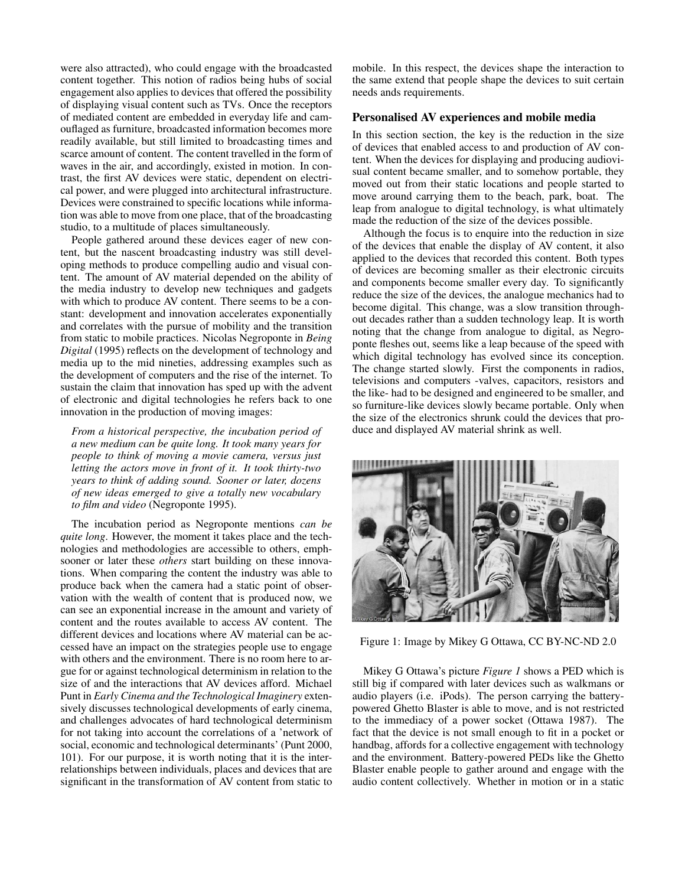were also attracted), who could engage with the broadcasted content together. This notion of radios being hubs of social engagement also applies to devices that offered the possibility of displaying visual content such as TVs. Once the receptors of mediated content are embedded in everyday life and camouflaged as furniture, broadcasted information becomes more readily available, but still limited to broadcasting times and scarce amount of content. The content travelled in the form of waves in the air, and accordingly, existed in motion. In contrast, the first AV devices were static, dependent on electrical power, and were plugged into architectural infrastructure. Devices were constrained to specific locations while information was able to move from one place, that of the broadcasting studio, to a multitude of places simultaneously.

People gathered around these devices eager of new content, but the nascent broadcasting industry was still developing methods to produce compelling audio and visual content. The amount of AV material depended on the ability of the media industry to develop new techniques and gadgets with which to produce AV content. There seems to be a constant: development and innovation accelerates exponentially and correlates with the pursue of mobility and the transition from static to mobile practices. Nicolas Negroponte in *Being Digital* (1995) reflects on the development of technology and media up to the mid nineties, addressing examples such as the development of computers and the rise of the internet. To sustain the claim that innovation has sped up with the advent of electronic and digital technologies he refers back to one innovation in the production of moving images:

*From a historical perspective, the incubation period of a new medium can be quite long. It took many years for people to think of moving a movie camera, versus just letting the actors move in front of it. It took thirty-two years to think of adding sound. Sooner or later, dozens of new ideas emerged to give a totally new vocabulary to film and video* (Negroponte 1995).

The incubation period as Negroponte mentions *can be quite long*. However, the moment it takes place and the technologies and methodologies are accessible to others, emphsooner or later these *others* start building on these innovations. When comparing the content the industry was able to produce back when the camera had a static point of observation with the wealth of content that is produced now, we can see an exponential increase in the amount and variety of content and the routes available to access AV content. The different devices and locations where AV material can be accessed have an impact on the strategies people use to engage with others and the environment. There is no room here to argue for or against technological determinism in relation to the size of and the interactions that AV devices afford. Michael Punt in *Early Cinema and the Technological Imaginery* extensively discusses technological developments of early cinema, and challenges advocates of hard technological determinism for not taking into account the correlations of a 'network of social, economic and technological determinants' (Punt 2000, 101). For our purpose, it is worth noting that it is the interrelationships between individuals, places and devices that are significant in the transformation of AV content from static to

mobile. In this respect, the devices shape the interaction to the same extend that people shape the devices to suit certain needs ands requirements.

#### Personalised AV experiences and mobile media

In this section section, the key is the reduction in the size of devices that enabled access to and production of AV content. When the devices for displaying and producing audiovisual content became smaller, and to somehow portable, they moved out from their static locations and people started to move around carrying them to the beach, park, boat. The leap from analogue to digital technology, is what ultimately made the reduction of the size of the devices possible.

Although the focus is to enquire into the reduction in size of the devices that enable the display of AV content, it also applied to the devices that recorded this content. Both types of devices are becoming smaller as their electronic circuits and components become smaller every day. To significantly reduce the size of the devices, the analogue mechanics had to become digital. This change, was a slow transition throughout decades rather than a sudden technology leap. It is worth noting that the change from analogue to digital, as Negroponte fleshes out, seems like a leap because of the speed with which digital technology has evolved since its conception. The change started slowly. First the components in radios, televisions and computers -valves, capacitors, resistors and the like- had to be designed and engineered to be smaller, and so furniture-like devices slowly became portable. Only when the size of the electronics shrunk could the devices that produce and displayed AV material shrink as well.



Figure 1: Image by Mikey G Ottawa, CC BY-NC-ND 2.0

Mikey G Ottawa's picture *Figure 1* shows a PED which is still big if compared with later devices such as walkmans or audio players (i.e. iPods). The person carrying the batterypowered Ghetto Blaster is able to move, and is not restricted to the immediacy of a power socket (Ottawa 1987). The fact that the device is not small enough to fit in a pocket or handbag, affords for a collective engagement with technology and the environment. Battery-powered PEDs like the Ghetto Blaster enable people to gather around and engage with the audio content collectively. Whether in motion or in a static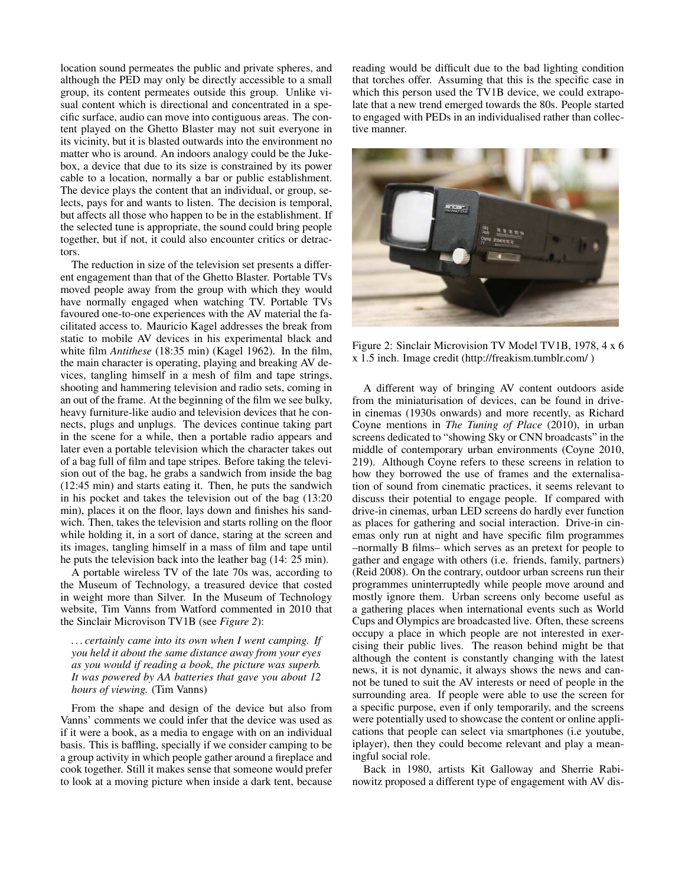location sound permeates the public and private spheres, and although the PED may only be directly accessible to a small group, its content permeates outside this group. Unlike visual content which is directional and concentrated in a specific surface, audio can move into contiguous areas. The content played on the Ghetto Blaster may not suit everyone in its vicinity, but it is blasted outwards into the environment no matter who is around. An indoors analogy could be the Jukebox, a device that due to its size is constrained by its power cable to a location, normally a bar or public establishment. The device plays the content that an individual, or group, selects, pays for and wants to listen. The decision is temporal, but affects all those who happen to be in the establishment. If the selected tune is appropriate, the sound could bring people together, but if not, it could also encounter critics or detractors.

The reduction in size of the television set presents a different engagement than that of the Ghetto Blaster. Portable TVs moved people away from the group with which they would have normally engaged when watching TV. Portable TVs favoured one-to-one experiences with the AV material the facilitated access to. Mauricio Kagel addresses the break from static to mobile AV devices in his experimental black and white film *Antithese* (18:35 min) (Kagel 1962). In the film, the main character is operating, playing and breaking AV devices, tangling himself in a mesh of film and tape strings, shooting and hammering television and radio sets, coming in an out of the frame. At the beginning of the film we see bulky, heavy furniture-like audio and television devices that he connects, plugs and unplugs. The devices continue taking part in the scene for a while, then a portable radio appears and later even a portable television which the character takes out of a bag full of film and tape stripes. Before taking the television out of the bag, he grabs a sandwich from inside the bag (12:45 min) and starts eating it. Then, he puts the sandwich in his pocket and takes the television out of the bag (13:20 min), places it on the floor, lays down and finishes his sandwich. Then, takes the television and starts rolling on the floor while holding it, in a sort of dance, staring at the screen and its images, tangling himself in a mass of film and tape until he puts the television back into the leather bag (14: 25 min).

A portable wireless TV of the late 70s was, according to the Museum of Technology, a treasured device that costed in weight more than Silver. In the Museum of Technology website, Tim Vanns from Watford commented in 2010 that the Sinclair Microvison TV1B (see *Figure 2*):

*. . . certainly came into its own when I went camping. If you held it about the same distance away from your eyes as you would if reading a book, the picture was superb. It was powered by AA batteries that gave you about 12 hours of viewing.* (Tim Vanns)

From the shape and design of the device but also from Vanns' comments we could infer that the device was used as if it were a book, as a media to engage with on an individual basis. This is baffling, specially if we consider camping to be a group activity in which people gather around a fireplace and cook together. Still it makes sense that someone would prefer to look at a moving picture when inside a dark tent, because reading would be difficult due to the bad lighting condition that torches offer. Assuming that this is the specific case in which this person used the TV1B device, we could extrapolate that a new trend emerged towards the 80s. People started to engaged with PEDs in an individualised rather than collective manner.



Figure 2: Sinclair Microvision TV Model TV1B, 1978, 4 x 6 x 1.5 inch. Image credit (http://freakism.tumblr.com/ )

A different way of bringing AV content outdoors aside from the miniaturisation of devices, can be found in drivein cinemas (1930s onwards) and more recently, as Richard Coyne mentions in *The Tuning of Place* (2010), in urban screens dedicated to "showing Sky or CNN broadcasts" in the middle of contemporary urban environments (Coyne 2010, 219). Although Coyne refers to these screens in relation to how they borrowed the use of frames and the externalisation of sound from cinematic practices, it seems relevant to discuss their potential to engage people. If compared with drive-in cinemas, urban LED screens do hardly ever function as places for gathering and social interaction. Drive-in cinemas only run at night and have specific film programmes –normally B films– which serves as an pretext for people to gather and engage with others (i.e. friends, family, partners) (Reid 2008). On the contrary, outdoor urban screens run their programmes uninterruptedly while people move around and mostly ignore them. Urban screens only become useful as a gathering places when international events such as World Cups and Olympics are broadcasted live. Often, these screens occupy a place in which people are not interested in exercising their public lives. The reason behind might be that although the content is constantly changing with the latest news, it is not dynamic, it always shows the news and cannot be tuned to suit the AV interests or need of people in the surrounding area. If people were able to use the screen for a specific purpose, even if only temporarily, and the screens were potentially used to showcase the content or online applications that people can select via smartphones (i.e youtube, iplayer), then they could become relevant and play a meaningful social role.

Back in 1980, artists Kit Galloway and Sherrie Rabinowitz proposed a different type of engagement with AV dis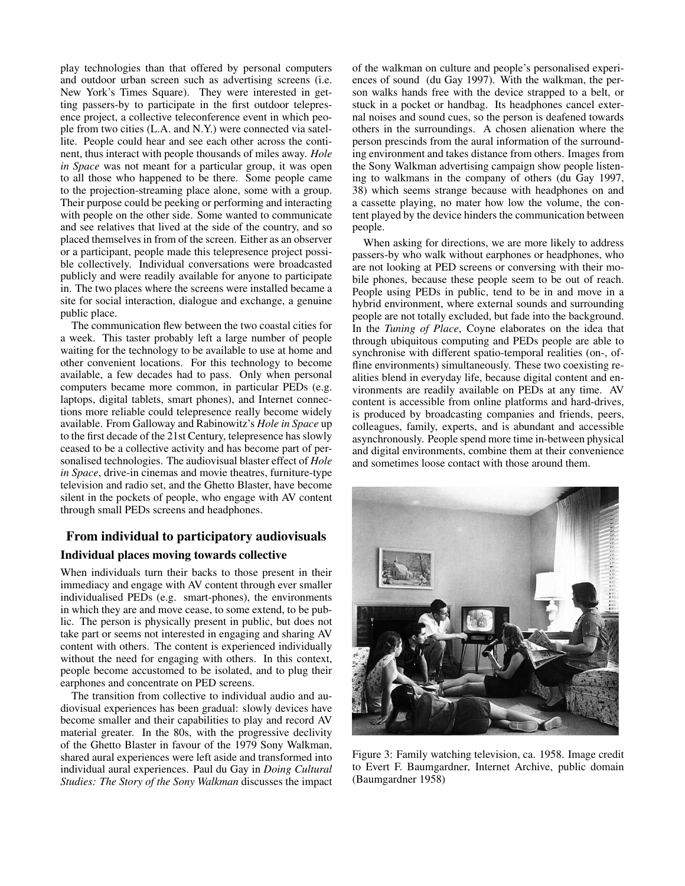play technologies than that offered by personal computers and outdoor urban screen such as advertising screens (i.e. New York's Times Square). They were interested in getting passers-by to participate in the first outdoor telepresence project, a collective teleconference event in which people from two cities (L.A. and N.Y.) were connected via satellite. People could hear and see each other across the continent, thus interact with people thousands of miles away. *Hole in Space* was not meant for a particular group, it was open to all those who happened to be there. Some people came to the projection-streaming place alone, some with a group. Their purpose could be peeking or performing and interacting with people on the other side. Some wanted to communicate and see relatives that lived at the side of the country, and so placed themselves in from of the screen. Either as an observer or a participant, people made this telepresence project possible collectively. Individual conversations were broadcasted publicly and were readily available for anyone to participate in. The two places where the screens were installed became a site for social interaction, dialogue and exchange, a genuine public place.

The communication flew between the two coastal cities for a week. This taster probably left a large number of people waiting for the technology to be available to use at home and other convenient locations. For this technology to become available, a few decades had to pass. Only when personal computers became more common, in particular PEDs (e.g. laptops, digital tablets, smart phones), and Internet connections more reliable could telepresence really become widely available. From Galloway and Rabinowitz's *Hole in Space* up to the first decade of the 21st Century, telepresence has slowly ceased to be a collective activity and has become part of personalised technologies. The audiovisual blaster effect of *Hole in Space*, drive-in cinemas and movie theatres, furniture-type television and radio set, and the Ghetto Blaster, have become silent in the pockets of people, who engage with AV content through small PEDs screens and headphones.

## From individual to participatory audiovisuals Individual places moving towards collective

When individuals turn their backs to those present in their immediacy and engage with AV content through ever smaller individualised PEDs (e.g. smart-phones), the environments in which they are and move cease, to some extend, to be public. The person is physically present in public, but does not take part or seems not interested in engaging and sharing AV content with others. The content is experienced individually without the need for engaging with others. In this context, people become accustomed to be isolated, and to plug their earphones and concentrate on PED screens.

The transition from collective to individual audio and audiovisual experiences has been gradual: slowly devices have become smaller and their capabilities to play and record AV material greater. In the 80s, with the progressive declivity of the Ghetto Blaster in favour of the 1979 Sony Walkman, shared aural experiences were left aside and transformed into individual aural experiences. Paul du Gay in *Doing Cultural Studies: The Story of the Sony Walkman* discusses the impact

of the walkman on culture and people's personalised experiences of sound (du Gay 1997). With the walkman, the person walks hands free with the device strapped to a belt, or stuck in a pocket or handbag. Its headphones cancel external noises and sound cues, so the person is deafened towards others in the surroundings. A chosen alienation where the person prescinds from the aural information of the surrounding environment and takes distance from others. Images from the Sony Walkman advertising campaign show people listening to walkmans in the company of others (du Gay 1997, 38) which seems strange because with headphones on and a cassette playing, no mater how low the volume, the content played by the device hinders the communication between people.

When asking for directions, we are more likely to address passers-by who walk without earphones or headphones, who are not looking at PED screens or conversing with their mobile phones, because these people seem to be out of reach. People using PEDs in public, tend to be in and move in a hybrid environment, where external sounds and surrounding people are not totally excluded, but fade into the background. In the *Tuning of Place*, Coyne elaborates on the idea that through ubiquitous computing and PEDs people are able to synchronise with different spatio-temporal realities (on-, offline environments) simultaneously. These two coexisting realities blend in everyday life, because digital content and environments are readily available on PEDs at any time. AV content is accessible from online platforms and hard-drives, is produced by broadcasting companies and friends, peers, colleagues, family, experts, and is abundant and accessible asynchronously. People spend more time in-between physical and digital environments, combine them at their convenience and sometimes loose contact with those around them.



Figure 3: Family watching television, ca. 1958. Image credit to Evert F. Baumgardner, Internet Archive, public domain (Baumgardner 1958)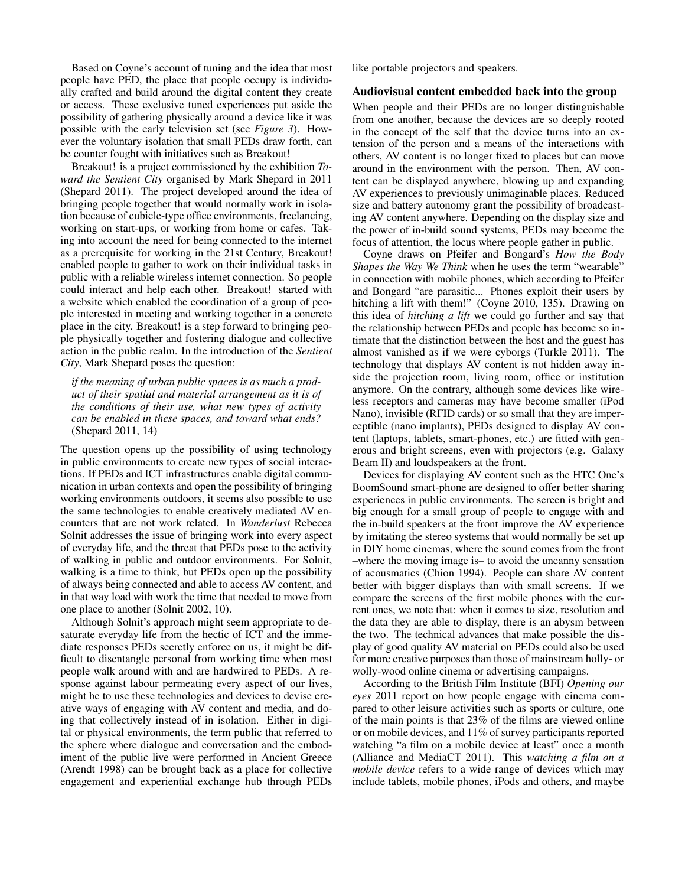Based on Coyne's account of tuning and the idea that most people have PED, the place that people occupy is individually crafted and build around the digital content they create or access. These exclusive tuned experiences put aside the possibility of gathering physically around a device like it was possible with the early television set (see *Figure 3*). However the voluntary isolation that small PEDs draw forth, can be counter fought with initiatives such as Breakout!

Breakout! is a project commissioned by the exhibition *Toward the Sentient City* organised by Mark Shepard in 2011 (Shepard 2011). The project developed around the idea of bringing people together that would normally work in isolation because of cubicle-type office environments, freelancing, working on start-ups, or working from home or cafes. Taking into account the need for being connected to the internet as a prerequisite for working in the 21st Century, Breakout! enabled people to gather to work on their individual tasks in public with a reliable wireless internet connection. So people could interact and help each other. Breakout! started with a website which enabled the coordination of a group of people interested in meeting and working together in a concrete place in the city. Breakout! is a step forward to bringing people physically together and fostering dialogue and collective action in the public realm. In the introduction of the *Sentient City*, Mark Shepard poses the question:

*if the meaning of urban public spaces is as much a product of their spatial and material arrangement as it is of the conditions of their use, what new types of activity can be enabled in these spaces, and toward what ends?* (Shepard 2011, 14)

The question opens up the possibility of using technology in public environments to create new types of social interactions. If PEDs and ICT infrastructures enable digital communication in urban contexts and open the possibility of bringing working environments outdoors, it seems also possible to use the same technologies to enable creatively mediated AV encounters that are not work related. In *Wanderlust* Rebecca Solnit addresses the issue of bringing work into every aspect of everyday life, and the threat that PEDs pose to the activity of walking in public and outdoor environments. For Solnit, walking is a time to think, but PEDs open up the possibility of always being connected and able to access AV content, and in that way load with work the time that needed to move from one place to another (Solnit 2002, 10).

Although Solnit's approach might seem appropriate to desaturate everyday life from the hectic of ICT and the immediate responses PEDs secretly enforce on us, it might be difficult to disentangle personal from working time when most people walk around with and are hardwired to PEDs. A response against labour permeating every aspect of our lives, might be to use these technologies and devices to devise creative ways of engaging with AV content and media, and doing that collectively instead of in isolation. Either in digital or physical environments, the term public that referred to the sphere where dialogue and conversation and the embodiment of the public live were performed in Ancient Greece (Arendt 1998) can be brought back as a place for collective engagement and experiential exchange hub through PEDs like portable projectors and speakers.

#### Audiovisual content embedded back into the group

When people and their PEDs are no longer distinguishable from one another, because the devices are so deeply rooted in the concept of the self that the device turns into an extension of the person and a means of the interactions with others, AV content is no longer fixed to places but can move around in the environment with the person. Then, AV content can be displayed anywhere, blowing up and expanding AV experiences to previously unimaginable places. Reduced size and battery autonomy grant the possibility of broadcasting AV content anywhere. Depending on the display size and the power of in-build sound systems, PEDs may become the focus of attention, the locus where people gather in public.

Coyne draws on Pfeifer and Bongard's *How the Body Shapes the Way We Think* when he uses the term "wearable" in connection with mobile phones, which according to Pfeifer and Bongard "are parasitic... Phones exploit their users by hitching a lift with them!" (Coyne 2010, 135). Drawing on this idea of *hitching a lift* we could go further and say that the relationship between PEDs and people has become so intimate that the distinction between the host and the guest has almost vanished as if we were cyborgs (Turkle 2011). The technology that displays AV content is not hidden away inside the projection room, living room, office or institution anymore. On the contrary, although some devices like wireless receptors and cameras may have become smaller (iPod Nano), invisible (RFID cards) or so small that they are imperceptible (nano implants), PEDs designed to display AV content (laptops, tablets, smart-phones, etc.) are fitted with generous and bright screens, even with projectors (e.g. Galaxy Beam II) and loudspeakers at the front.

Devices for displaying AV content such as the HTC One's BoomSound smart-phone are designed to offer better sharing experiences in public environments. The screen is bright and big enough for a small group of people to engage with and the in-build speakers at the front improve the AV experience by imitating the stereo systems that would normally be set up in DIY home cinemas, where the sound comes from the front –where the moving image is– to avoid the uncanny sensation of acousmatics (Chion 1994). People can share AV content better with bigger displays than with small screens. If we compare the screens of the first mobile phones with the current ones, we note that: when it comes to size, resolution and the data they are able to display, there is an abysm between the two. The technical advances that make possible the display of good quality AV material on PEDs could also be used for more creative purposes than those of mainstream holly- or wolly-wood online cinema or advertising campaigns.

According to the British Film Institute (BFI) *Opening our eyes* 2011 report on how people engage with cinema compared to other leisure activities such as sports or culture, one of the main points is that 23% of the films are viewed online or on mobile devices, and 11% of survey participants reported watching "a film on a mobile device at least" once a month (Alliance and MediaCT 2011). This *watching a film on a mobile device* refers to a wide range of devices which may include tablets, mobile phones, iPods and others, and maybe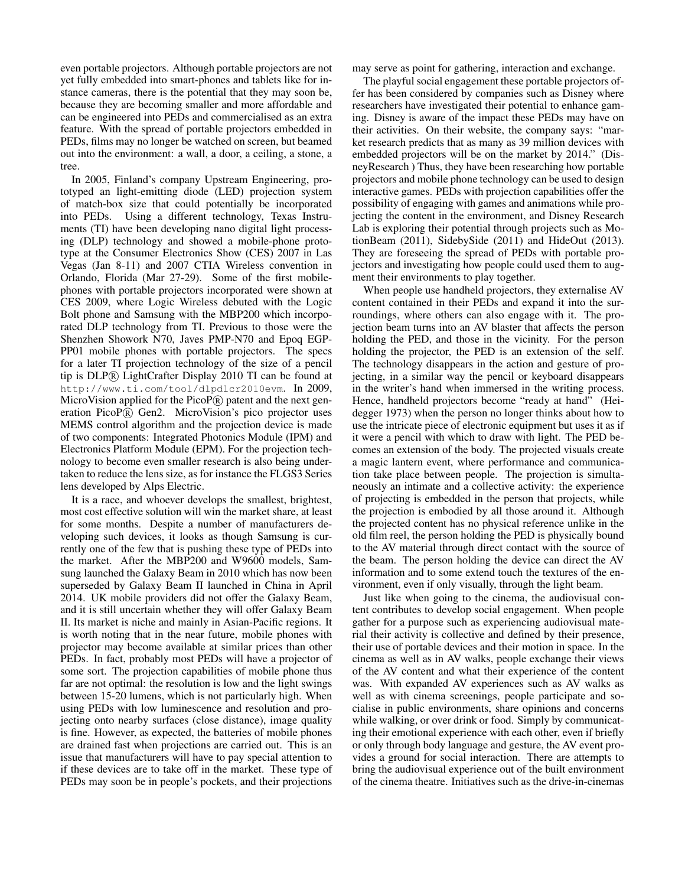even portable projectors. Although portable projectors are not yet fully embedded into smart-phones and tablets like for instance cameras, there is the potential that they may soon be, because they are becoming smaller and more affordable and can be engineered into PEDs and commercialised as an extra feature. With the spread of portable projectors embedded in PEDs, films may no longer be watched on screen, but beamed out into the environment: a wall, a door, a ceiling, a stone, a tree.

In 2005, Finland's company Upstream Engineering, prototyped an light-emitting diode (LED) projection system of match-box size that could potentially be incorporated into PEDs. Using a different technology, Texas Instruments (TI) have been developing nano digital light processing (DLP) technology and showed a mobile-phone prototype at the Consumer Electronics Show (CES) 2007 in Las Vegas (Jan 8-11) and 2007 CTIA Wireless convention in Orlando, Florida (Mar 27-29). Some of the first mobilephones with portable projectors incorporated were shown at CES 2009, where Logic Wireless debuted with the Logic Bolt phone and Samsung with the MBP200 which incorporated DLP technology from TI. Previous to those were the Shenzhen Showork N70, Javes PMP-N70 and Epoq EGP-PP01 mobile phones with portable projectors. The specs for a later TI projection technology of the size of a pencil tip is DLP <sup>R</sup> LightCrafter Display 2010 TI can be found at http://www.ti.com/tool/dlpdlcr2010evm. In 2009, MicroVision applied for the PicoP® patent and the next generation PicoP® Gen2. MicroVision's pico projector uses MEMS control algorithm and the projection device is made of two components: Integrated Photonics Module (IPM) and Electronics Platform Module (EPM). For the projection technology to become even smaller research is also being undertaken to reduce the lens size, as for instance the FLGS3 Series lens developed by Alps Electric.

It is a race, and whoever develops the smallest, brightest, most cost effective solution will win the market share, at least for some months. Despite a number of manufacturers developing such devices, it looks as though Samsung is currently one of the few that is pushing these type of PEDs into the market. After the MBP200 and W9600 models, Samsung launched the Galaxy Beam in 2010 which has now been superseded by Galaxy Beam II launched in China in April 2014. UK mobile providers did not offer the Galaxy Beam, and it is still uncertain whether they will offer Galaxy Beam II. Its market is niche and mainly in Asian-Pacific regions. It is worth noting that in the near future, mobile phones with projector may become available at similar prices than other PEDs. In fact, probably most PEDs will have a projector of some sort. The projection capabilities of mobile phone thus far are not optimal: the resolution is low and the light swings between 15-20 lumens, which is not particularly high. When using PEDs with low luminescence and resolution and projecting onto nearby surfaces (close distance), image quality is fine. However, as expected, the batteries of mobile phones are drained fast when projections are carried out. This is an issue that manufacturers will have to pay special attention to if these devices are to take off in the market. These type of PEDs may soon be in people's pockets, and their projections

may serve as point for gathering, interaction and exchange.

The playful social engagement these portable projectors offer has been considered by companies such as Disney where researchers have investigated their potential to enhance gaming. Disney is aware of the impact these PEDs may have on their activities. On their website, the company says: "market research predicts that as many as 39 million devices with embedded projectors will be on the market by 2014." (DisneyResearch ) Thus, they have been researching how portable projectors and mobile phone technology can be used to design interactive games. PEDs with projection capabilities offer the possibility of engaging with games and animations while projecting the content in the environment, and Disney Research Lab is exploring their potential through projects such as MotionBeam (2011), SidebySide (2011) and HideOut (2013). They are foreseeing the spread of PEDs with portable projectors and investigating how people could used them to augment their environments to play together.

When people use handheld projectors, they externalise AV content contained in their PEDs and expand it into the surroundings, where others can also engage with it. The projection beam turns into an AV blaster that affects the person holding the PED, and those in the vicinity. For the person holding the projector, the PED is an extension of the self. The technology disappears in the action and gesture of projecting, in a similar way the pencil or keyboard disappears in the writer's hand when immersed in the writing process. Hence, handheld projectors become "ready at hand" (Heidegger 1973) when the person no longer thinks about how to use the intricate piece of electronic equipment but uses it as if it were a pencil with which to draw with light. The PED becomes an extension of the body. The projected visuals create a magic lantern event, where performance and communication take place between people. The projection is simultaneously an intimate and a collective activity: the experience of projecting is embedded in the person that projects, while the projection is embodied by all those around it. Although the projected content has no physical reference unlike in the old film reel, the person holding the PED is physically bound to the AV material through direct contact with the source of the beam. The person holding the device can direct the AV information and to some extend touch the textures of the environment, even if only visually, through the light beam.

Just like when going to the cinema, the audiovisual content contributes to develop social engagement. When people gather for a purpose such as experiencing audiovisual material their activity is collective and defined by their presence, their use of portable devices and their motion in space. In the cinema as well as in AV walks, people exchange their views of the AV content and what their experience of the content was. With expanded AV experiences such as AV walks as well as with cinema screenings, people participate and socialise in public environments, share opinions and concerns while walking, or over drink or food. Simply by communicating their emotional experience with each other, even if briefly or only through body language and gesture, the AV event provides a ground for social interaction. There are attempts to bring the audiovisual experience out of the built environment of the cinema theatre. Initiatives such as the drive-in-cinemas